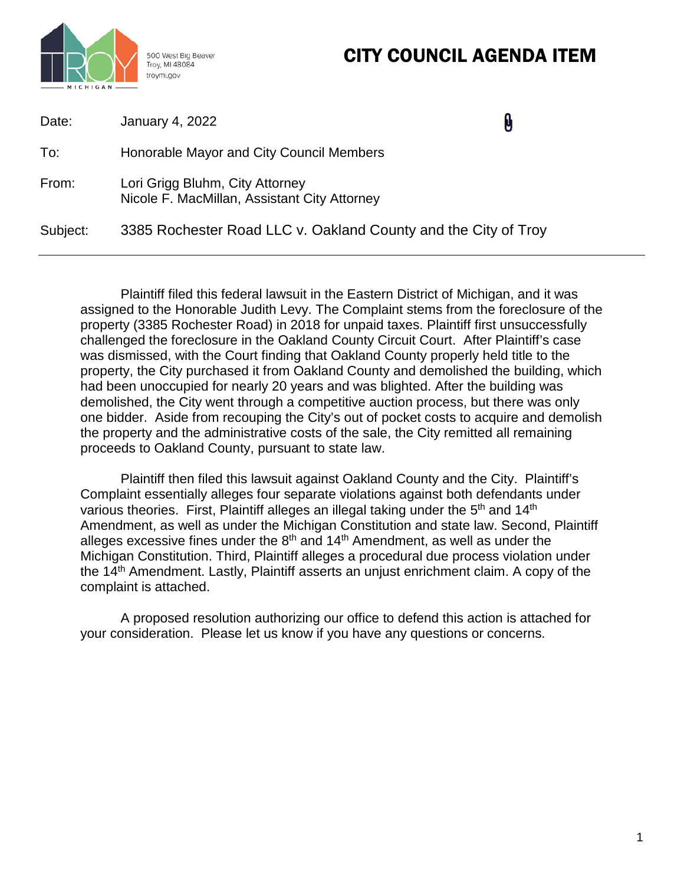# CITY COUNCIL AGENDA ITEM



500 West Big Beaver Troy, MI 48084

| Date:    | January 4, 2022                                                                 | <b>M</b> |
|----------|---------------------------------------------------------------------------------|----------|
| To:      | Honorable Mayor and City Council Members                                        |          |
| From:    | Lori Grigg Bluhm, City Attorney<br>Nicole F. MacMillan, Assistant City Attorney |          |
| Subject: | 3385 Rochester Road LLC v. Oakland County and the City of Troy                  |          |

Plaintiff filed this federal lawsuit in the Eastern District of Michigan, and it was assigned to the Honorable Judith Levy. The Complaint stems from the foreclosure of the property (3385 Rochester Road) in 2018 for unpaid taxes. Plaintiff first unsuccessfully challenged the foreclosure in the Oakland County Circuit Court. After Plaintiff's case was dismissed, with the Court finding that Oakland County properly held title to the property, the City purchased it from Oakland County and demolished the building, which had been unoccupied for nearly 20 years and was blighted. After the building was demolished, the City went through a competitive auction process, but there was only one bidder. Aside from recouping the City's out of pocket costs to acquire and demolish the property and the administrative costs of the sale, the City remitted all remaining proceeds to Oakland County, pursuant to state law.

Plaintiff then filed this lawsuit against Oakland County and the City. Plaintiff's Complaint essentially alleges four separate violations against both defendants under various theories. First, Plaintiff alleges an illegal taking under the 5<sup>th</sup> and 14<sup>th</sup> Amendment, as well as under the Michigan Constitution and state law. Second, Plaintiff alleges excessive fines under the  $8<sup>th</sup>$  and  $14<sup>th</sup>$  Amendment, as well as under the Michigan Constitution. Third, Plaintiff alleges a procedural due process violation under the 14<sup>th</sup> Amendment. Lastly, Plaintiff asserts an unjust enrichment claim. A copy of the complaint is attached.

A proposed resolution authorizing our office to defend this action is attached for your consideration. Please let us know if you have any questions or concerns.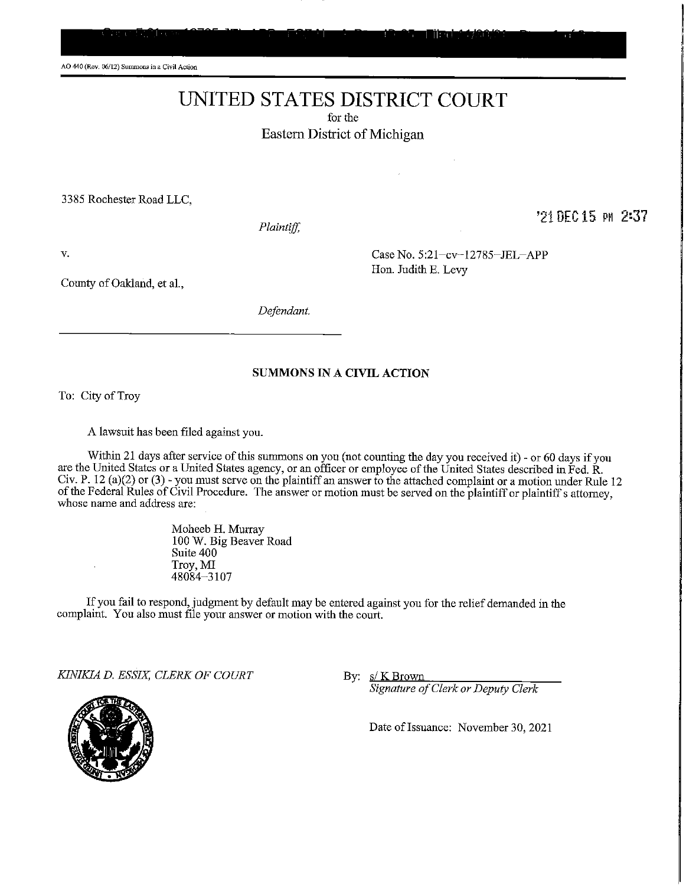AO 440 (Rey, 06/12) Summons in a Civil Action

# UNITED STATES DISTRICT COURT

for the Eastern District of Michigan

3385 Rochester Road LLC,

Plaintiff,

'21 DEC 15 PM 2:37

V.

County of Oakland, et al.,

Defendant.

#### **SUMMONS IN A CIVIL ACTION**

To: City of Troy

A lawsuit has been filed against you.

Within 21 days after service of this summons on you (not counting the day you received it) - or 60 days if you are the United States or a United States agency, or an officer or employee of the United States described in Fed. R. Civ. P. 12 (a)(2) or (3) - you must serve on the plaintiff an answer to the attached complaint or a motion under Rule 12<br>of the Federal Rules of Civil Procedure. The answer or motion must be served on the plaintiff or plai whose name and address are:

> Moheeb H. Murray 100 W. Big Beaver Road Suite 400 Troy, MI 48084-3107

If you fail to respond, judgment by default may be entered against you for the relief demanded in the complaint. You also must file your answer or motion with the court.

KINIKIA D. ESSIX, CLERK OF COURT

By:  $s/K$  Brown

Signature of Clerk or Deputy Clerk

Date of Issuance: November 30, 2021



Case No. 5:21-cv-12785-JEL-APP

Hon. Judith E. Levy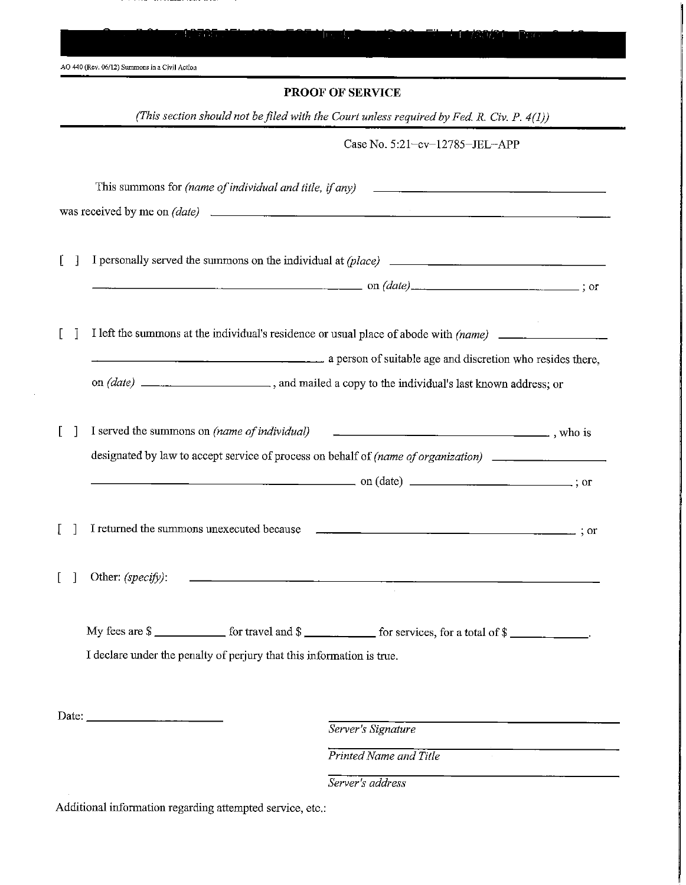| AO 440 (Rev. 06/12) Summons in a Civil Action                                                                                                                                                                                                                                                                                                                                                                                                     |                                                                                                                                                                            |
|---------------------------------------------------------------------------------------------------------------------------------------------------------------------------------------------------------------------------------------------------------------------------------------------------------------------------------------------------------------------------------------------------------------------------------------------------|----------------------------------------------------------------------------------------------------------------------------------------------------------------------------|
|                                                                                                                                                                                                                                                                                                                                                                                                                                                   | <b>PROOF OF SERVICE</b>                                                                                                                                                    |
|                                                                                                                                                                                                                                                                                                                                                                                                                                                   | (This section should not be filed with the Court unless required by Fed. R. Civ. P. 4(1))                                                                                  |
|                                                                                                                                                                                                                                                                                                                                                                                                                                                   | Case No. 5:21-cv-12785-JEL-APP                                                                                                                                             |
| This summons for (name of individual and title, if any)                                                                                                                                                                                                                                                                                                                                                                                           |                                                                                                                                                                            |
|                                                                                                                                                                                                                                                                                                                                                                                                                                                   |                                                                                                                                                                            |
|                                                                                                                                                                                                                                                                                                                                                                                                                                                   |                                                                                                                                                                            |
|                                                                                                                                                                                                                                                                                                                                                                                                                                                   |                                                                                                                                                                            |
|                                                                                                                                                                                                                                                                                                                                                                                                                                                   | $\Box$ on $(data)$ $\Box$ on $(data)$ $\Box$ $\Box$ ; or                                                                                                                   |
|                                                                                                                                                                                                                                                                                                                                                                                                                                                   |                                                                                                                                                                            |
|                                                                                                                                                                                                                                                                                                                                                                                                                                                   |                                                                                                                                                                            |
|                                                                                                                                                                                                                                                                                                                                                                                                                                                   | a person of suitable age and discretion who resides there,                                                                                                                 |
|                                                                                                                                                                                                                                                                                                                                                                                                                                                   |                                                                                                                                                                            |
|                                                                                                                                                                                                                                                                                                                                                                                                                                                   |                                                                                                                                                                            |
|                                                                                                                                                                                                                                                                                                                                                                                                                                                   |                                                                                                                                                                            |
|                                                                                                                                                                                                                                                                                                                                                                                                                                                   |                                                                                                                                                                            |
|                                                                                                                                                                                                                                                                                                                                                                                                                                                   |                                                                                                                                                                            |
|                                                                                                                                                                                                                                                                                                                                                                                                                                                   | designated by law to accept service of process on behalf of (name of organization) ________________                                                                        |
|                                                                                                                                                                                                                                                                                                                                                                                                                                                   |                                                                                                                                                                            |
|                                                                                                                                                                                                                                                                                                                                                                                                                                                   |                                                                                                                                                                            |
| Other: (specify):                                                                                                                                                                                                                                                                                                                                                                                                                                 | <u> Andrew State (1989), a control de la control de la control de la control de la control de la control de la co</u>                                                      |
|                                                                                                                                                                                                                                                                                                                                                                                                                                                   |                                                                                                                                                                            |
|                                                                                                                                                                                                                                                                                                                                                                                                                                                   |                                                                                                                                                                            |
|                                                                                                                                                                                                                                                                                                                                                                                                                                                   | My fees are $\frac{1}{2}$ for travel and $\frac{1}{2}$ for services, for a total of $\frac{1}{2}$<br>I declare under the penalty of perjury that this information is true. |
|                                                                                                                                                                                                                                                                                                                                                                                                                                                   |                                                                                                                                                                            |
|                                                                                                                                                                                                                                                                                                                                                                                                                                                   |                                                                                                                                                                            |
| Date: $\frac{1}{\sqrt{1-\frac{1}{2}} \cdot \frac{1}{2} \cdot \frac{1}{2} \cdot \frac{1}{2} \cdot \frac{1}{2} \cdot \frac{1}{2} \cdot \frac{1}{2} \cdot \frac{1}{2} \cdot \frac{1}{2} \cdot \frac{1}{2} \cdot \frac{1}{2} \cdot \frac{1}{2} \cdot \frac{1}{2} \cdot \frac{1}{2} \cdot \frac{1}{2} \cdot \frac{1}{2} \cdot \frac{1}{2} \cdot \frac{1}{2} \cdot \frac{1}{2} \cdot \frac{1}{2} \cdot \frac{1}{2} \cdot \frac{1}{2} \cdot \frac{1}{2}$ |                                                                                                                                                                            |
|                                                                                                                                                                                                                                                                                                                                                                                                                                                   | Server's Signature<br>Printed Name and Title                                                                                                                               |

. .  ......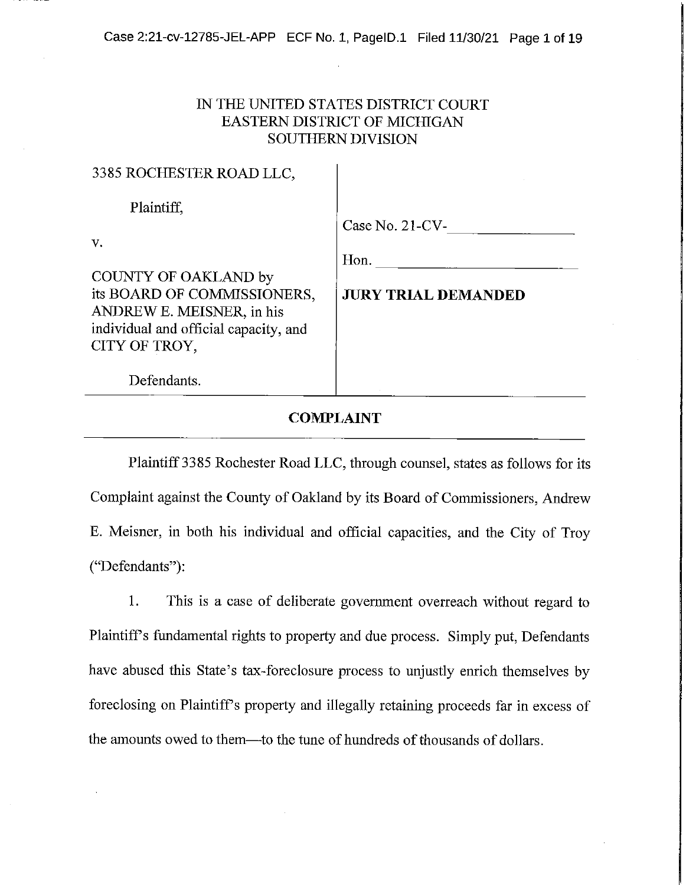Case 2:21-cv-12785-JEL-APP ECF No. 1, PageID.1 Filed 11/30/21 Page 1 of 19

# IN THE UNITED STATES DISTRICT COURT **EASTERN DISTRICT OF MICHIGAN SOUTHERN DIVISION**

 $\mathbf{I}$ 

2295 DOCUERTED DOAD LLC

| Case No. 21-CV-            |
|----------------------------|
|                            |
| Hon.                       |
|                            |
| <b>JURY TRIAL DEMANDED</b> |
|                            |
|                            |
|                            |
|                            |
|                            |
|                            |

# **COMPLAINT**

Plaintiff 3385 Rochester Road LLC, through counsel, states as follows for its Complaint against the County of Oakland by its Board of Commissioners, Andrew E. Meisner, in both his individual and official capacities, and the City of Troy ("Defendants"):

1. This is a case of deliberate government overreach without regard to Plaintiff's fundamental rights to property and due process. Simply put, Defendants have abused this State's tax-foreclosure process to unjustly enrich themselves by foreclosing on Plaintiff's property and illegally retaining proceeds far in excess of the amounts owed to them--to the tune of hundreds of thousands of dollars.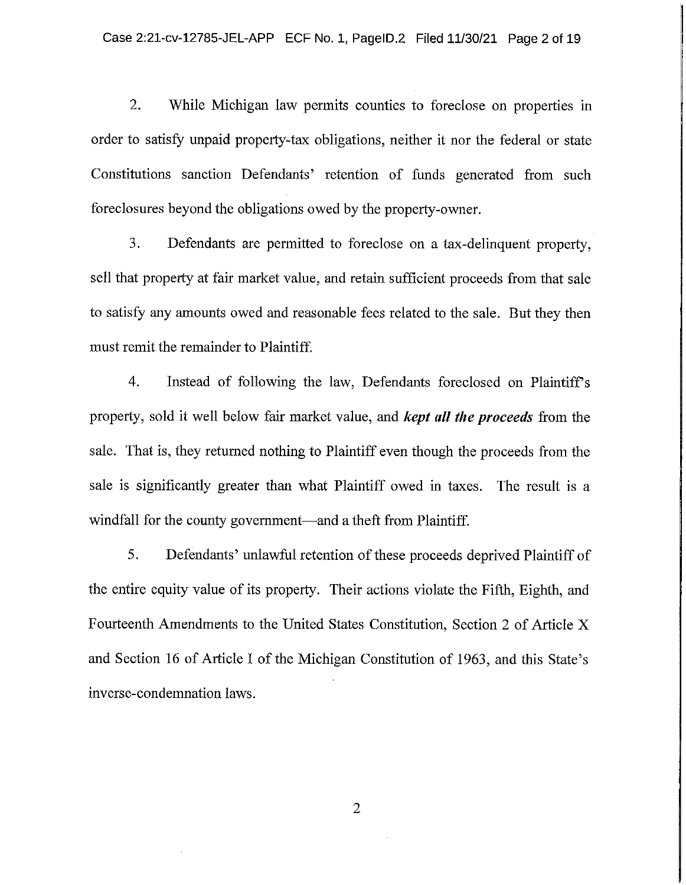$2.$ While Michigan law permits counties to foreclose on properties in order to satisfy unpaid property-tax obligations, neither it nor the federal or state Constitutions sanction Defendants' retention of funds generated from such foreclosures beyond the obligations owed by the property-owner.

3. Defendants are permitted to foreclose on a tax-delinquent property, sell that property at fair market value, and retain sufficient proceeds from that sale to satisfy any amounts owed and reasonable fees related to the sale. But they then must remit the remainder to Plaintiff.

 $4.$ Instead of following the law, Defendants foreclosed on Plaintiff's property, sold it well below fair market value, and *kept all the proceeds* from the sale. That is, they returned nothing to Plaintiff even though the proceeds from the sale is significantly greater than what Plaintiff owed in taxes. The result is a windfall for the county government—and a theft from Plaintiff.

5. Defendants' unlawful retention of these proceeds deprived Plaintiff of the entire equity value of its property. Their actions violate the Fifth, Eighth, and Fourteenth Amendments to the United States Constitution, Section 2 of Article X and Section 16 of Article I of the Michigan Constitution of 1963, and this State's inverse-condemnation laws.

 $\overline{2}$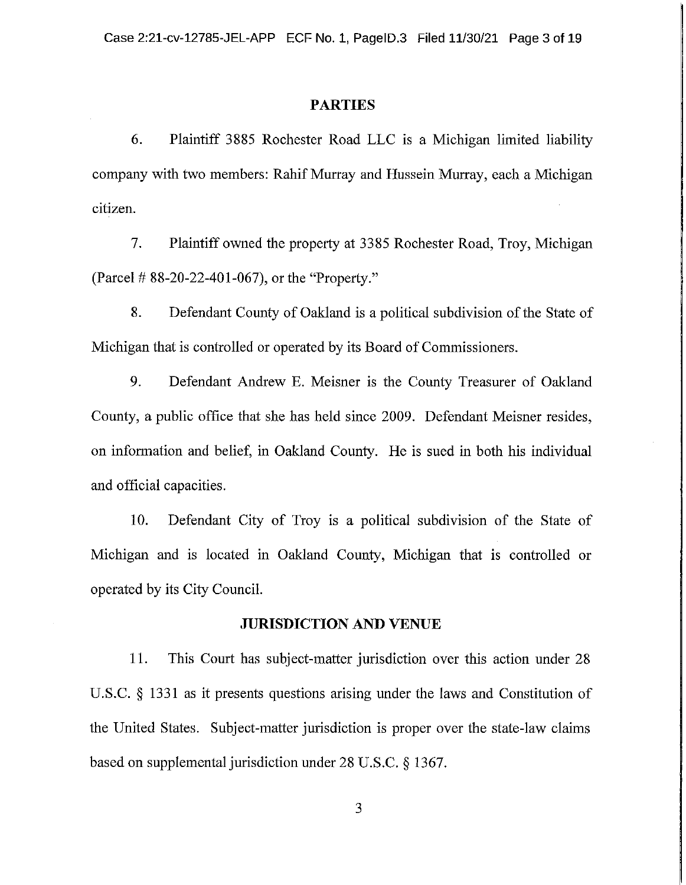### **PARTIES**

6. Plaintiff 3885 Rochester Road LLC is a Michigan limited liability company with two members: Rahif Murray and Hussein Murray, each a Michigan citizen.

 $7.$ Plaintiff owned the property at 3385 Rochester Road, Troy, Michigan (Parcel #88-20-22-401-067), or the "Property."

8. Defendant County of Oakland is a political subdivision of the State of Michigan that is controlled or operated by its Board of Commissioners.

9. Defendant Andrew E. Meisner is the County Treasurer of Oakland County, a public office that she has held since 2009. Defendant Meisner resides, on information and belief, in Oakland County. He is sued in both his individual and official capacities.

Defendant City of Troy is a political subdivision of the State of 10. Michigan and is located in Oakland County, Michigan that is controlled or operated by its City Council.

#### **JURISDICTION AND VENUE**

11. This Court has subject-matter jurisdiction over this action under 28 U.S.C.  $\S$  1331 as it presents questions arising under the laws and Constitution of the United States. Subject-matter jurisdiction is proper over the state-law claims based on supplemental jurisdiction under  $28 \text{ U.S.C.} \S 1367$ .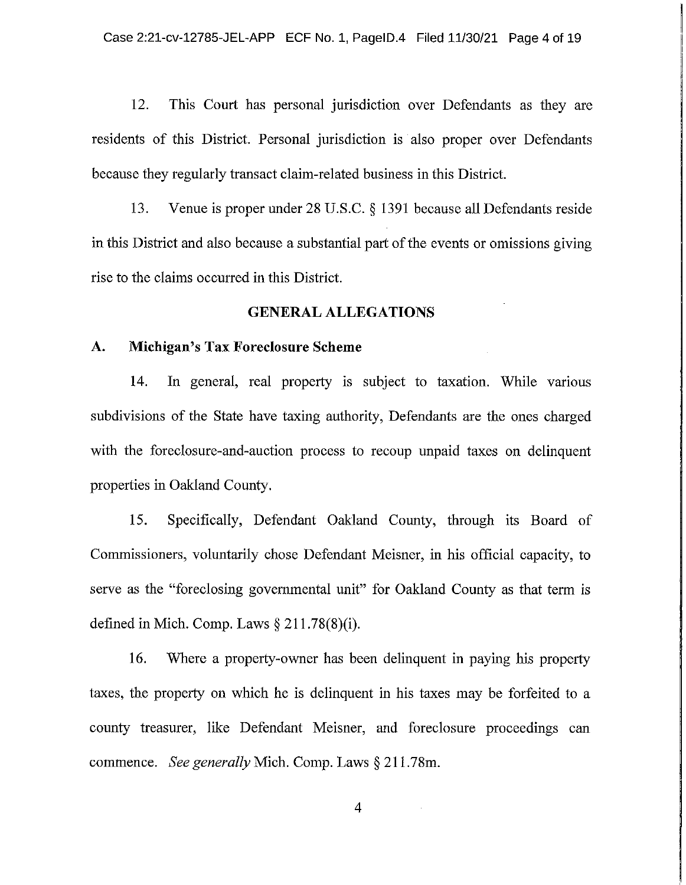This Court has personal jurisdiction over Defendants as they are 12. residents of this District. Personal jurisdiction is also proper over Defendants because they regularly transact claim-related business in this District.

13. Venue is proper under  $28$  U.S.C.  $\S$  1391 because all Defendants reside in this District and also because a substantial part of the events or omissions giving rise to the claims occurred in this District.

# **GENERAL ALLEGATIONS**

#### A. Michigan's Tax Foreclosure Scheme

14. In general, real property is subject to taxation. While various subdivisions of the State have taxing authority, Defendants are the ones charged with the foreclosure-and-auction process to recoup unpaid taxes on delinguent properties in Oakland County.

15. Specifically, Defendant Oakland County, through its Board of Commissioners, voluntarily chose Defendant Meisner, in his official capacity, to serve as the "foreclosing governmental unit" for Oakland County as that term is defined in Mich. Comp. Laws  $\S 211.78(8)(i)$ .

16. Where a property-owner has been delinguent in paying his property taxes, the property on which he is delinquent in his taxes may be forfeited to a county treasurer, like Defendant Meisner, and foreclosure proceedings can commence. See generally Mich. Comp. Laws  $\S 211.78$ m.

 $\overline{4}$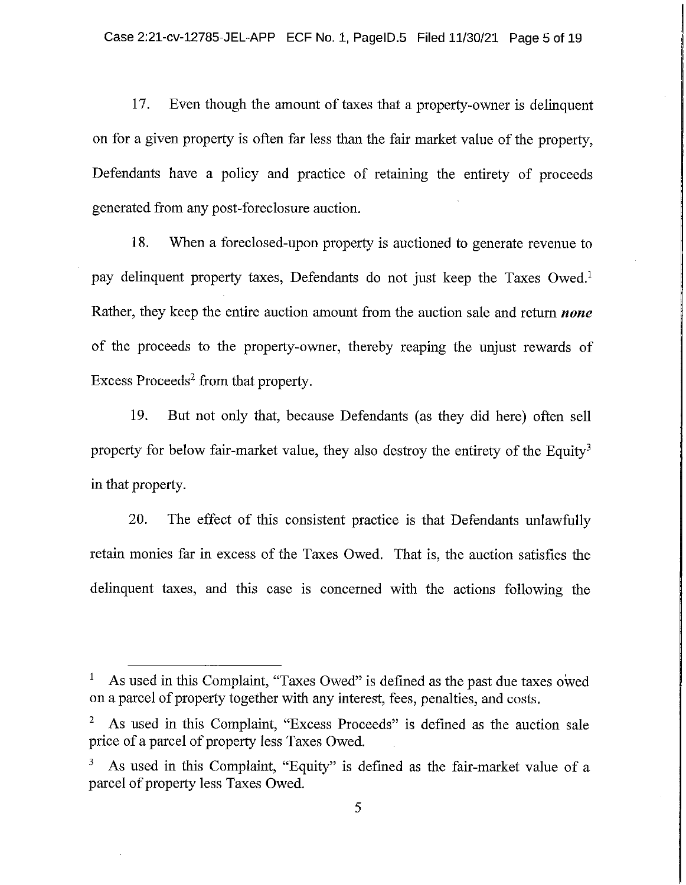17. Even though the amount of taxes that a property-owner is delinquent on for a given property is often far less than the fair market value of the property, Defendants have a policy and practice of retaining the entirety of proceeds generated from any post-foreclosure auction.

When a foreclosed-upon property is auctioned to generate revenue to 18. pay delinquent property taxes, Defendants do not just keep the Taxes Owed.<sup>1</sup> Rather, they keep the entire auction amount from the auction sale and return *none* of the proceeds to the property-owner, thereby reaping the unjust rewards of Excess Proceeds<sup>2</sup> from that property.

19. But not only that, because Defendants (as they did here) often sell property for below fair-market value, they also destroy the entirety of the Equity<sup>3</sup> in that property.

20. The effect of this consistent practice is that Defendants unlawfully retain monies far in excess of the Taxes Owed. That is, the auction satisfies the delinquent taxes, and this case is concerned with the actions following the

As used in this Complaint, "Taxes Owed" is defined as the past due taxes owed  $\mathbf{1}$ on a parcel of property together with any interest, fees, penalties, and costs.

As used in this Complaint, "Excess Proceeds" is defined as the auction sale price of a parcel of property less Taxes Owed.

As used in this Complaint, "Equity" is defined as the fair-market value of a parcel of property less Taxes Owed.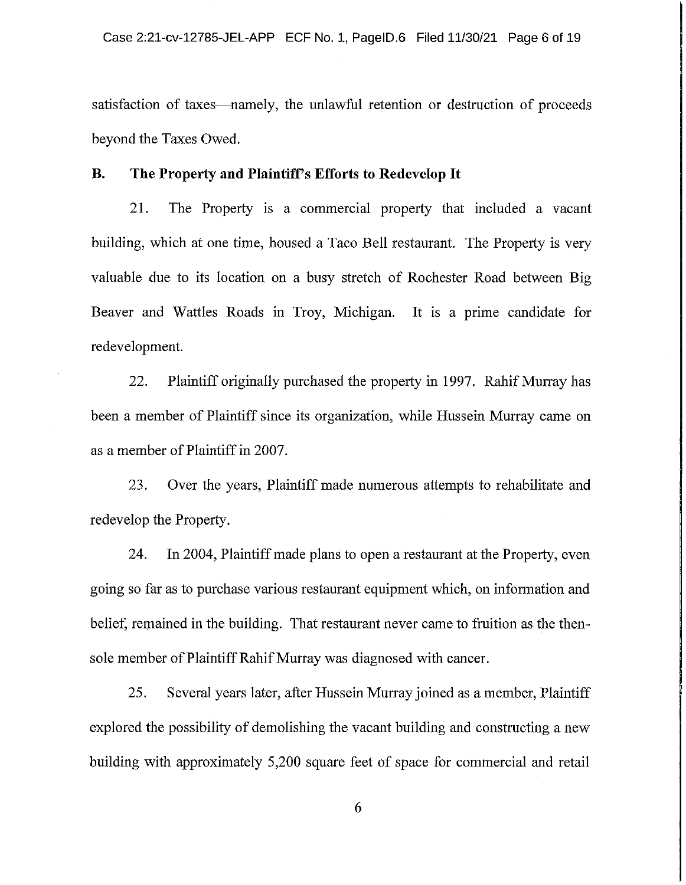satisfaction of taxes—namely, the unlawful retention or destruction of proceeds beyond the Taxes Owed.

#### **B.** The Property and Plaintiff's Efforts to Redevelop It

21. The Property is a commercial property that included a vacant building, which at one time, housed a Taco Bell restaurant. The Property is very valuable due to its location on a busy stretch of Rochester Road between Big Beaver and Wattles Roads in Troy, Michigan. It is a prime candidate for redevelopment.

22. Plaintiff originally purchased the property in 1997. Rahif Murray has been a member of Plaintiff since its organization, while Hussein Murray came on as a member of Plaintiff in 2007.

23. Over the years, Plaintiff made numerous attempts to rehabilitate and redevelop the Property.

24. In 2004, Plaintiff made plans to open a restaurant at the Property, even going so far as to purchase various restaurant equipment which, on information and belief, remained in the building. That restaurant never came to fruition as the thensole member of Plaintiff Rahif Murray was diagnosed with cancer.

25. Several years later, after Hussein Murray joined as a member, Plaintiff explored the possibility of demolishing the vacant building and constructing a new building with approximately 5,200 square feet of space for commercial and retail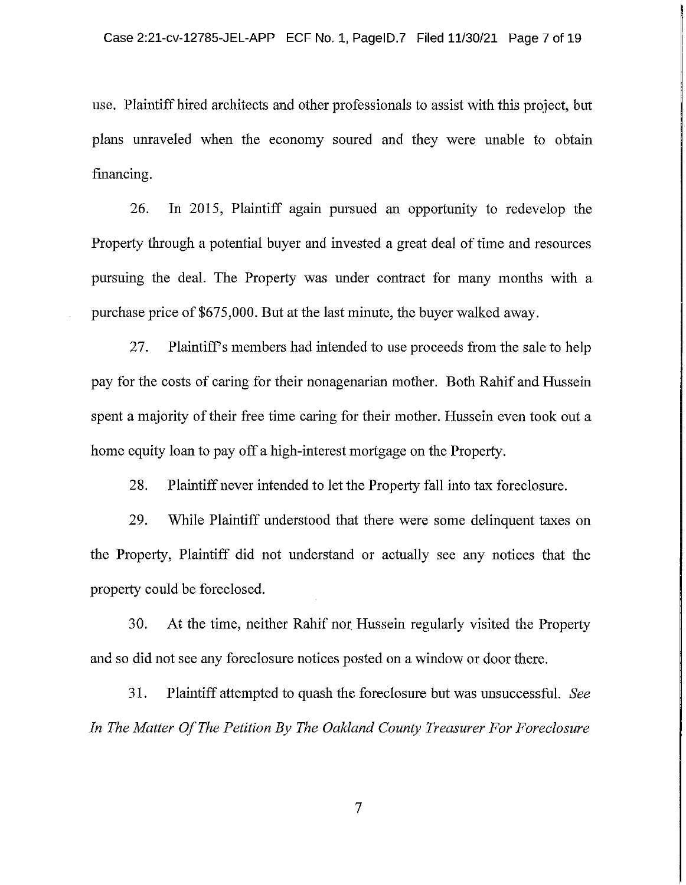use. Plaintiff hired architects and other professionals to assist with this project, but plans unraveled when the economy soured and they were unable to obtain financing.

In 2015, Plaintiff again pursued an opportunity to redevelop the 26. Property through a potential buyer and invested a great deal of time and resources pursuing the deal. The Property was under contract for many months with a purchase price of \$675,000. But at the last minute, the buyer walked away.

27. Plaintiff's members had intended to use proceeds from the sale to help pay for the costs of caring for their nonagenarian mother. Both Rahif and Hussein spent a majority of their free time caring for their mother. Hussein even took out a home equity loan to pay off a high-interest mortgage on the Property.

28. Plaintiff never intended to let the Property fall into tax foreclosure.

29. While Plaintiff understood that there were some delinguent taxes on the Property, Plaintiff did not understand or actually see any notices that the property could be foreclosed.

At the time, neither Rahif nor Hussein regularly visited the Property 30. and so did not see any foreclosure notices posted on a window or door there.

31. Plaintiff attempted to quash the foreclosure but was unsuccessful. See In The Matter Of The Petition By The Oakland County Treasurer For Foreclosure

 $\overline{7}$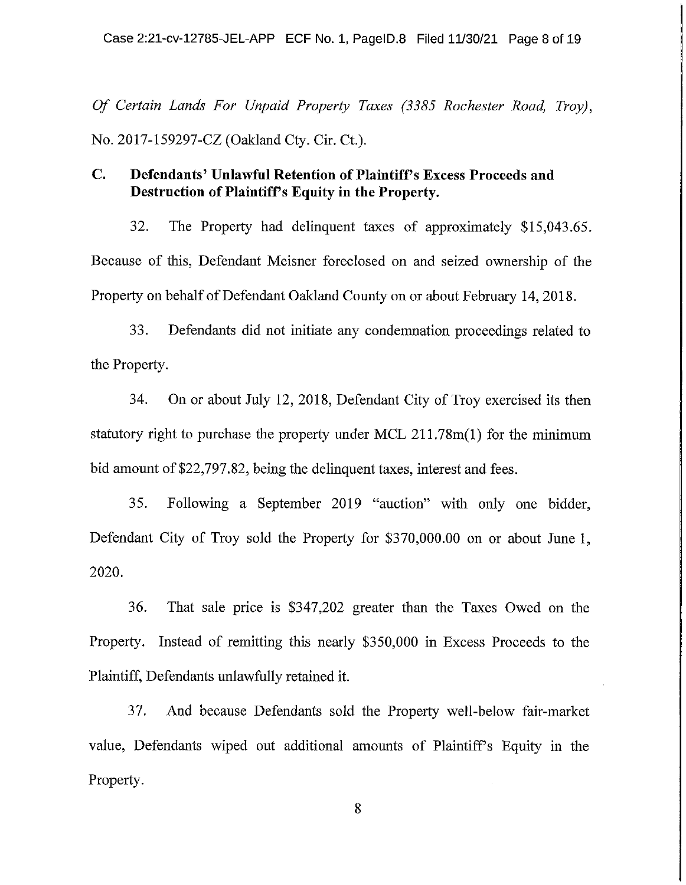Of Certain Lands For Unpaid Property Taxes (3385 Rochester Road, Trov). No. 2017-159297-CZ (Oakland Cty. Cir. Ct.).

#### $\mathbf{C}$ . Defendants' Unlawful Retention of Plaintiff's Excess Proceeds and Destruction of Plaintiff's Equity in the Property.

32. The Property had delinguent taxes of approximately \$15,043.65. Because of this, Defendant Meisner foreclosed on and seized ownership of the Property on behalf of Defendant Oakland County on or about February 14, 2018.

33. Defendants did not initiate any condemnation proceedings related to the Property.

34. On or about July 12, 2018, Defendant City of Troy exercised its then statutory right to purchase the property under MCL  $211.78m(1)$  for the minimum bid amount of \$22,797.82, being the delinguent taxes, interest and fees.

35. Following a September 2019 "auction" with only one bidder, Defendant City of Troy sold the Property for \$370,000.00 on or about June 1, 2020.

36. That sale price is \$347,202 greater than the Taxes Owed on the Property. Instead of remitting this nearly \$350,000 in Excess Proceeds to the Plaintiff, Defendants unlawfully retained it.

37. And because Defendants sold the Property well-below fair-market value, Defendants wiped out additional amounts of Plaintiff's Equity in the Property.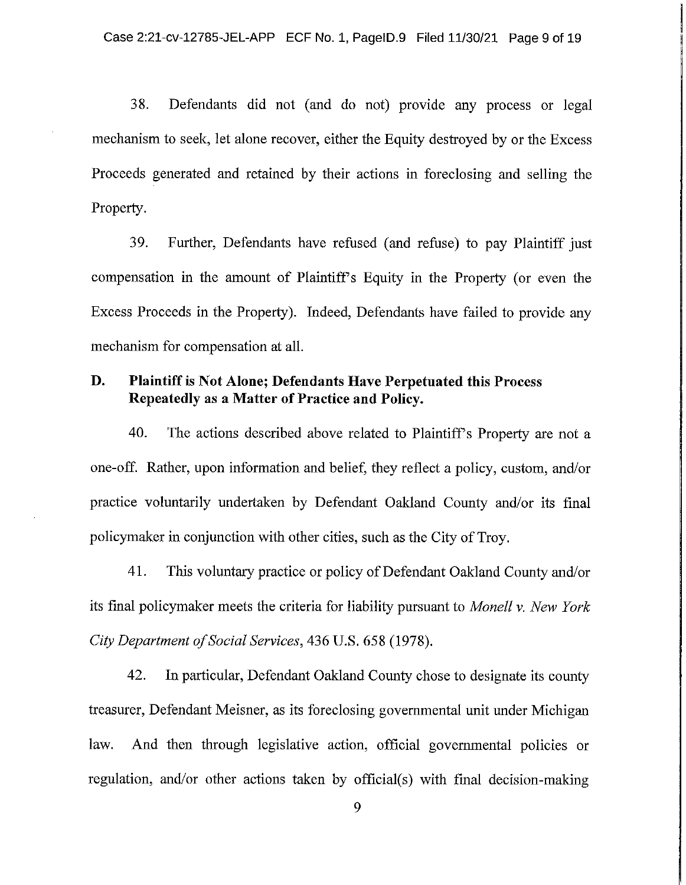38. Defendants did not (and do not) provide any process or legal mechanism to seek, let alone recover, either the Equity destroyed by or the Excess Proceeds generated and retained by their actions in foreclosing and selling the Property.

39. Further, Defendants have refused (and refuse) to pay Plaintiff just compensation in the amount of Plaintiff's Equity in the Property (or even the Excess Proceeds in the Property). Indeed, Defendants have failed to provide any mechanism for compensation at all.

#### D. **Plaintiff is Not Alone; Defendants Have Perpetuated this Process** Repeatedly as a Matter of Practice and Policy.

40. The actions described above related to Plaintiff's Property are not a one-off. Rather, upon information and belief, they reflect a policy, custom, and/or practice voluntarily undertaken by Defendant Oakland County and/or its final policymaker in conjunction with other cities, such as the City of Troy.

41. This voluntary practice or policy of Defendant Oakland County and/or its final policymaker meets the criteria for liability pursuant to Monell v. New York City Department of Social Services, 436 U.S. 658 (1978).

42. In particular, Defendant Oakland County chose to designate its county treasurer, Defendant Meisner, as its foreclosing governmental unit under Michigan And then through legislative action, official governmental policies or law. regulation, and/or other actions taken by official(s) with final decision-making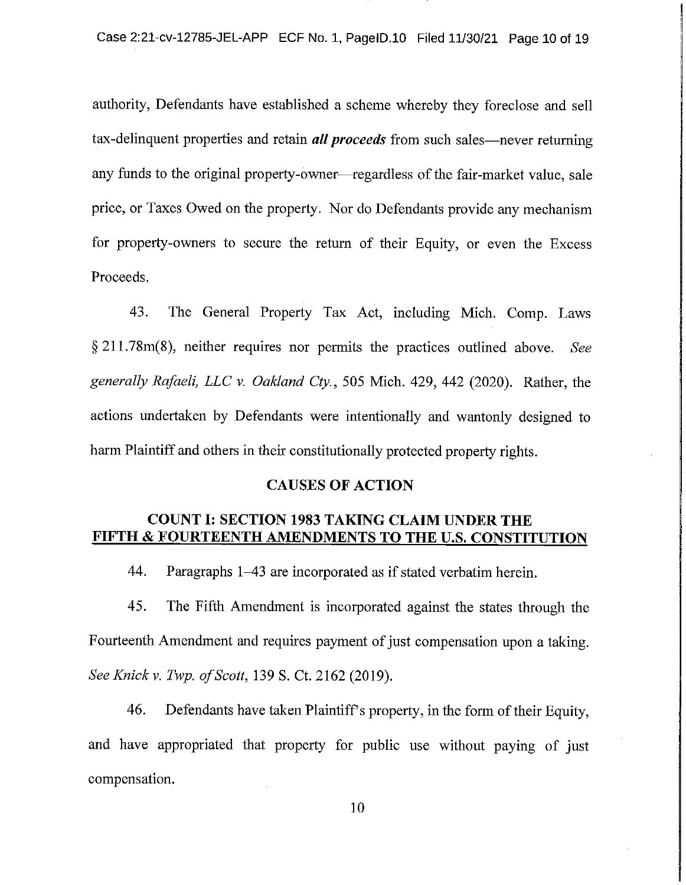authority, Defendants have established a scheme whereby they foreclose and sell tax-delinquent properties and retain *all proceeds* from such sales—never returning any funds to the original property-owner—regardless of the fair-market value, sale price, or Taxes Owed on the property. Nor do Defendants provide any mechanism for property-owners to secure the return of their Equity, or even the Excess Proceeds.

43. The General Property Tax Act, including Mich. Comp. Laws  $\S 211.78m(8)$ , neither requires nor permits the practices outlined above. See generally Rafaeli, LLC v. Oakland Cty., 505 Mich. 429, 442 (2020). Rather, the actions undertaken by Defendants were intentionally and wantonly designed to harm Plaintiff and others in their constitutionally protected property rights.

#### **CAUSES OF ACTION**

# **COUNT I: SECTION 1983 TAKING CLAIM UNDER THE** FIFTH & FOURTEENTH AMENDMENTS TO THE U.S. CONSTITUTION

44. Paragraphs 1–43 are incorporated as if stated verbatim herein.

45. The Fifth Amendment is incorporated against the states through the Fourteenth Amendment and requires payment of just compensation upon a taking. See Knick v. Twp. of Scott, 139 S. Ct. 2162 (2019).

46. Defendants have taken Plaintiff's property, in the form of their Equity, and have appropriated that property for public use without paying of just compensation.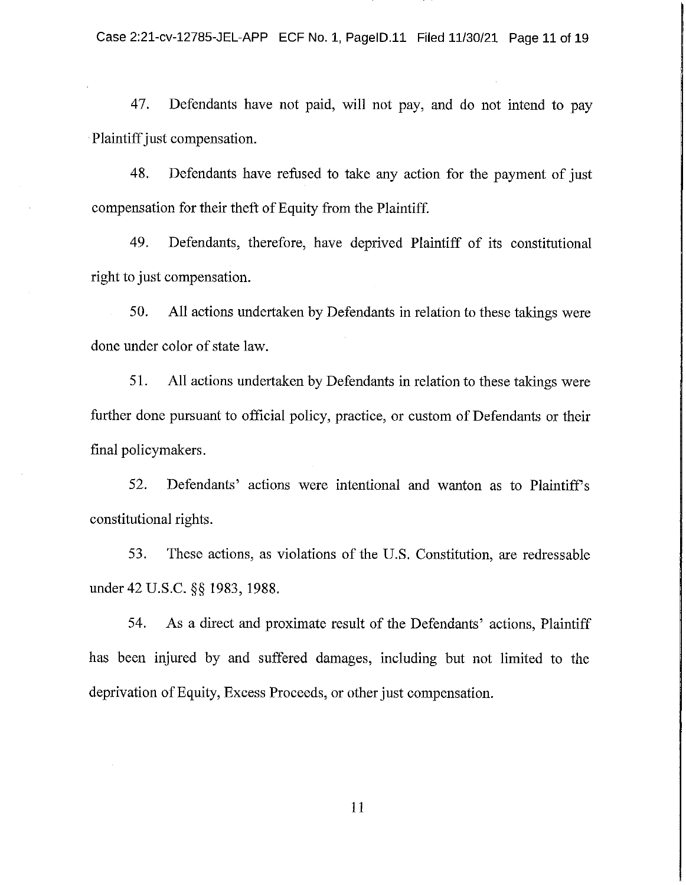Defendants have not paid, will not pay, and do not intend to pay 47. Plaintiff just compensation.

48. Defendants have refused to take any action for the payment of just compensation for their theft of Equity from the Plaintiff.

49. Defendants, therefore, have deprived Plaintiff of its constitutional right to just compensation.

50. All actions undertaken by Defendants in relation to these takings were done under color of state law.

51. All actions undertaken by Defendants in relation to these takings were further done pursuant to official policy, practice, or custom of Defendants or their final policymakers.

Defendants' actions were intentional and wanton as to Plaintiff's 52. constitutional rights.

53. These actions, as violations of the U.S. Constitution, are redressable under 42 U.S.C. §§ 1983, 1988.

As a direct and proximate result of the Defendants' actions, Plaintiff 54. has been injured by and suffered damages, including but not limited to the deprivation of Equity, Excess Proceeds, or other just compensation.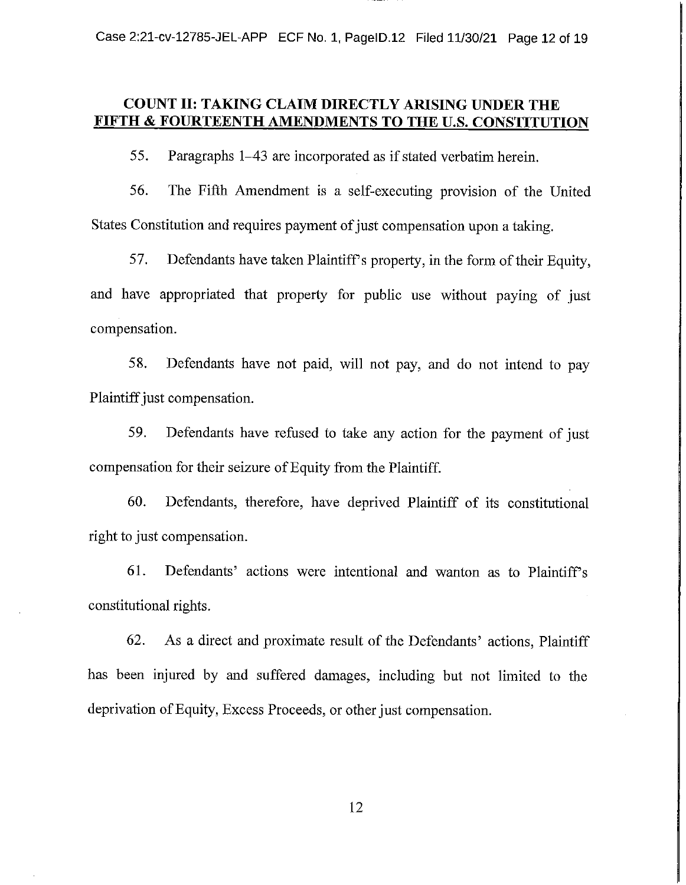Case 2:21-cv-12785-JEL-APP ECF No. 1, PageID.12 Filed 11/30/21 Page 12 of 19

# COUNT II: TAKING CLAIM DIRECTLY ARISING UNDER THE **FIFTH & FOURTEENTH AMENDMENTS TO THE U.S. CONSTITUTION**

55. Paragraphs 1–43 are incorporated as if stated verbatim herein.

56. The Fifth Amendment is a self-executing provision of the United States Constitution and requires payment of just compensation upon a taking.

57. Defendants have taken Plaintiff's property, in the form of their Equity, and have appropriated that property for public use without paying of just compensation.

58. Defendants have not paid, will not pay, and do not intend to pay Plaintiff just compensation.

59. Defendants have refused to take any action for the payment of just compensation for their seizure of Equity from the Plaintiff.

Defendants, therefore, have deprived Plaintiff of its constitutional 60. right to just compensation.

61. Defendants' actions were intentional and wanton as to Plaintiff's constitutional rights.

62. As a direct and proximate result of the Defendants' actions, Plaintiff has been injured by and suffered damages, including but not limited to the deprivation of Equity, Excess Proceeds, or other just compensation.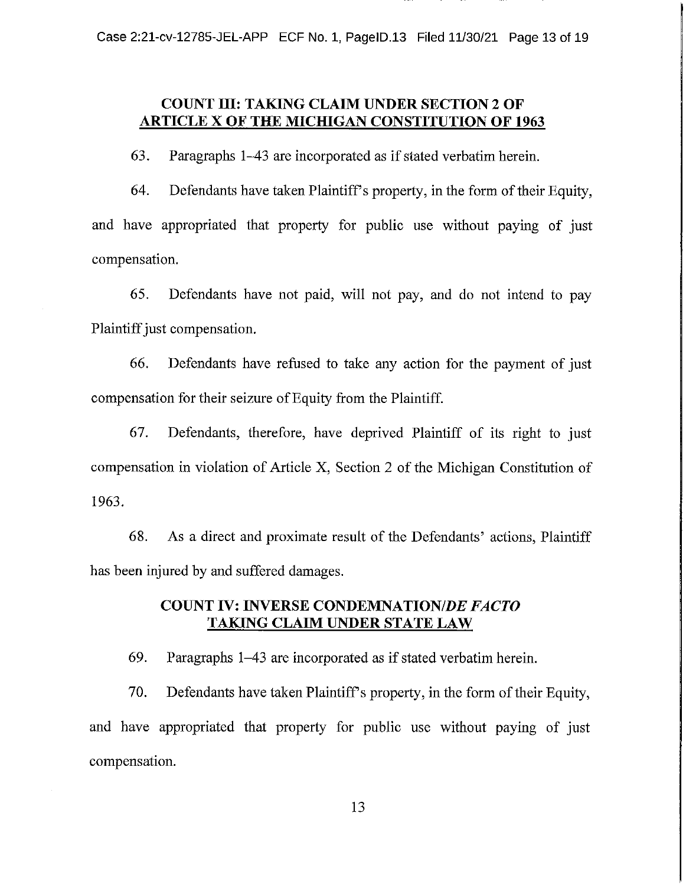# **COUNT III: TAKING CLAIM UNDER SECTION 2 OF ARTICLE X OF THE MICHIGAN CONSTITUTION OF 1963**

63. Paragraphs 1–43 are incorporated as if stated verbatim herein.

64. Defendants have taken Plaintiff's property, in the form of their Equity, and have appropriated that property for public use without paying of just compensation.

65. Defendants have not paid, will not pay, and do not intend to pay Plaintiff just compensation.

66. Defendants have refused to take any action for the payment of just compensation for their seizure of Equity from the Plaintiff.

67. Defendants, therefore, have deprived Plaintiff of its right to just compensation in violation of Article X, Section 2 of the Michigan Constitution of 1963.

68. As a direct and proximate result of the Defendants' actions, Plaintiff has been injured by and suffered damages.

# **COUNT IV: INVERSE CONDEMNATION/DE FACTO TAKING CLAIM UNDER STATE LAW**

69. Paragraphs 1–43 are incorporated as if stated verbatim herein.

70. Defendants have taken Plaintiff's property, in the form of their Equity, and have appropriated that property for public use without paying of just compensation.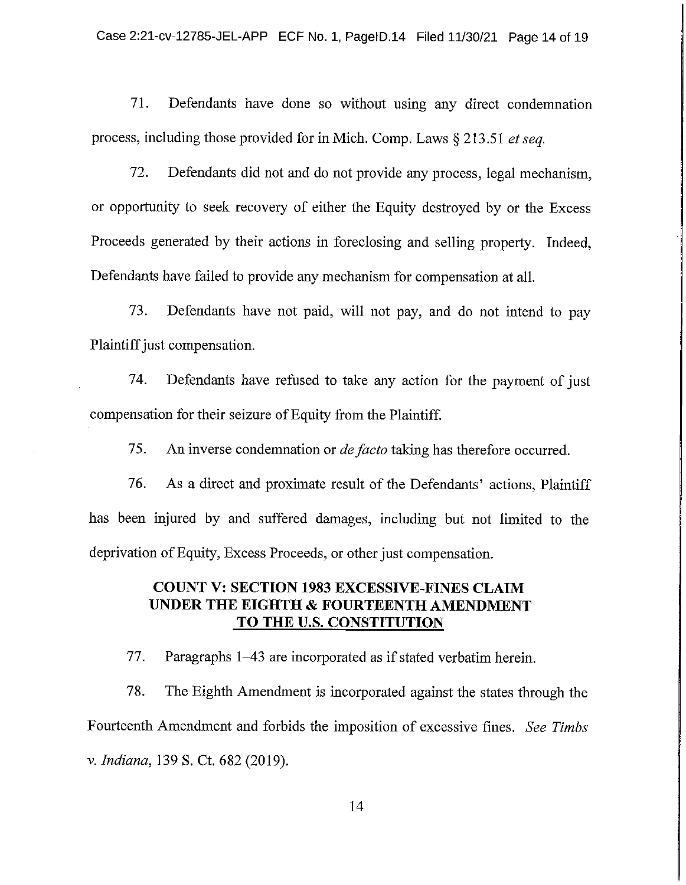71. Defendants have done so without using any direct condemnation process, including those provided for in Mich. Comp. Laws  $\S 213.51$  et seq.

72. Defendants did not and do not provide any process, legal mechanism, or opportunity to seek recovery of either the Equity destroyed by or the Excess Proceeds generated by their actions in foreclosing and selling property. Indeed, Defendants have failed to provide any mechanism for compensation at all.

73. Defendants have not paid, will not pay, and do not intend to pay Plaintiff just compensation.

Defendants have refused to take any action for the payment of just 74. compensation for their seizure of Equity from the Plaintiff.

75. An inverse condemnation or *de facto* taking has therefore occurred.

76. As a direct and proximate result of the Defendants' actions, Plaintiff has been injured by and suffered damages, including but not limited to the deprivation of Equity, Excess Proceeds, or other just compensation.

# **COUNT V: SECTION 1983 EXCESSIVE-FINES CLAIM** UNDER THE EIGHTH & FOURTEENTH AMENDMENT TO THE U.S. CONSTITUTION

77. Paragraphs 1–43 are incorporated as if stated verbatim herein.

78. The Eighth Amendment is incorporated against the states through the Fourteenth Amendment and forbids the imposition of excessive fines. See Timbs v. Indiana, 139 S. Ct. 682 (2019).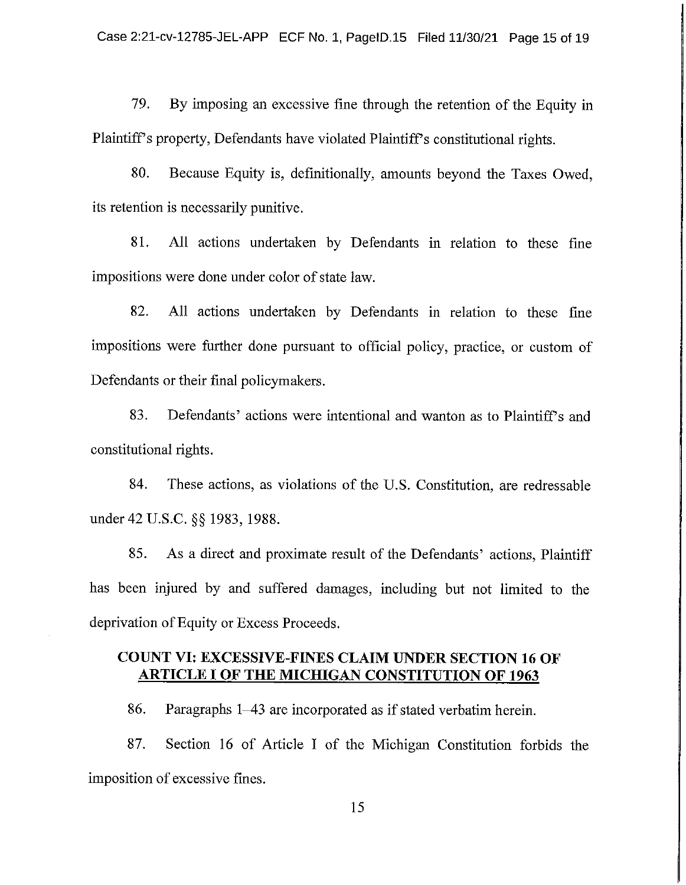79. By imposing an excessive fine through the retention of the Equity in Plaintiff's property, Defendants have violated Plaintiff's constitutional rights.

80. Because Equity is, definitionally, amounts beyond the Taxes Owed, its retention is necessarily punitive.

81. All actions undertaken by Defendants in relation to these fine impositions were done under color of state law.

82. All actions undertaken by Defendants in relation to these fine impositions were further done pursuant to official policy, practice, or custom of Defendants or their final policymakers.

83. Defendants' actions were intentional and wanton as to Plaintiff's and constitutional rights.

84. These actions, as violations of the U.S. Constitution, are redressable under 42 U.S.C. §§ 1983, 1988.

85. As a direct and proximate result of the Defendants' actions, Plaintiff has been injured by and suffered damages, including but not limited to the deprivation of Equity or Excess Proceeds.

# **COUNT VI: EXCESSIVE-FINES CLAIM UNDER SECTION 16 OF ARTICLE I OF THE MICHIGAN CONSTITUTION OF 1963**

86. Paragraphs 1–43 are incorporated as if stated verbatim herein.

Section 16 of Article I of the Michigan Constitution forbids the 87. imposition of excessive fines.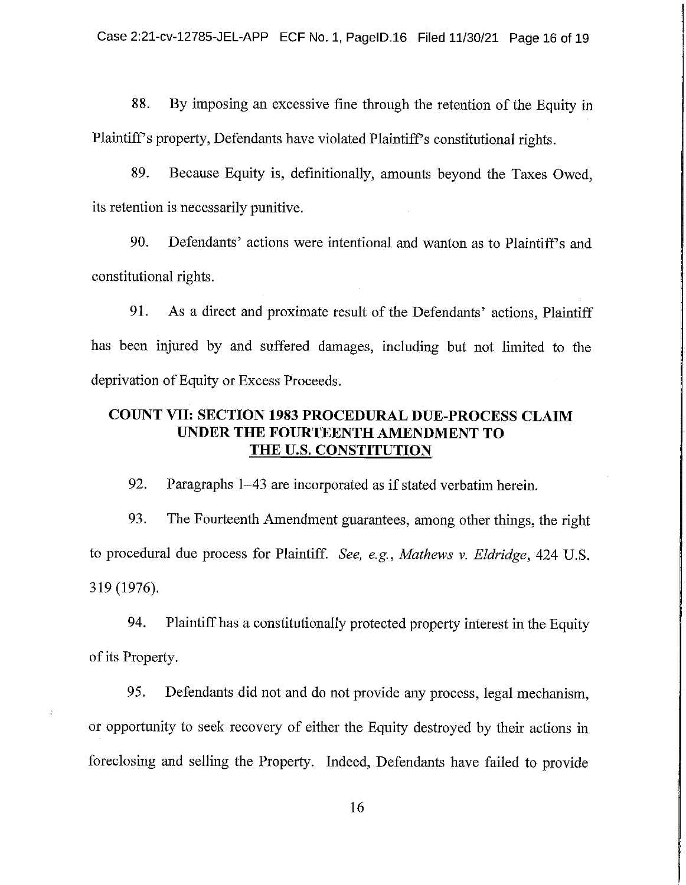88. By imposing an excessive fine through the retention of the Equity in Plaintiff's property, Defendants have violated Plaintiff's constitutional rights.

89. Because Equity is, definitionally, amounts beyond the Taxes Owed, its retention is necessarily punitive.

90. Defendants' actions were intentional and wanton as to Plaintiff's and constitutional rights.

91. As a direct and proximate result of the Defendants' actions, Plaintiff has been injured by and suffered damages, including but not limited to the deprivation of Equity or Excess Proceeds.

# **COUNT VII: SECTION 1983 PROCEDURAL DUE-PROCESS CLAIM** UNDER THE FOURTEENTH AMENDMENT TO THE U.S. CONSTITUTION

92. Paragraphs 1–43 are incorporated as if stated verbatim herein.

93. The Fourteenth Amendment guarantees, among other things, the right to procedural due process for Plaintiff. See, e.g., Mathews v. Eldridge, 424 U.S. 319 (1976).

94. Plaintiff has a constitutionally protected property interest in the Equity of its Property.

95. Defendants did not and do not provide any process, legal mechanism, or opportunity to seek recovery of either the Equity destroyed by their actions in foreclosing and selling the Property. Indeed, Defendants have failed to provide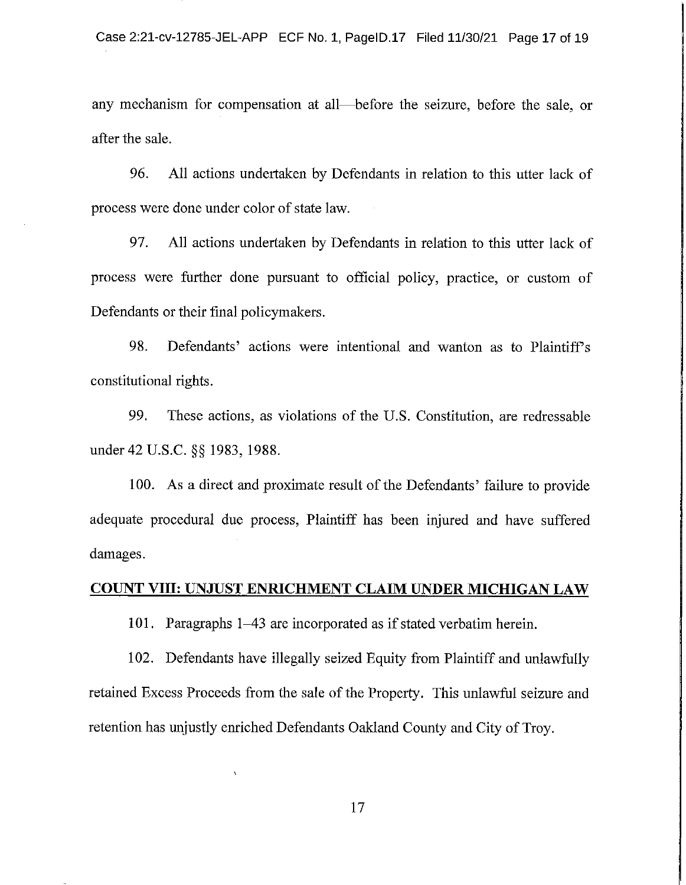any mechanism for compensation at all—before the seizure, before the sale, or after the sale.

96. All actions undertaken by Defendants in relation to this utter lack of process were done under color of state law.

97. All actions undertaken by Defendants in relation to this utter lack of process were further done pursuant to official policy, practice, or custom of Defendants or their final policymakers.

98. Defendants' actions were intentional and wanton as to Plaintiff's constitutional rights.

99. These actions, as violations of the U.S. Constitution, are redressable under 42 U.S.C. §§ 1983, 1988.

100. As a direct and proximate result of the Defendants' failure to provide adequate procedural due process, Plaintiff has been injured and have suffered damages.

### **COUNT VIII: UNJUST ENRICHMENT CLAIM UNDER MICHIGAN LAW**

101. Paragraphs 1–43 are incorporated as if stated verbatim herein.

102. Defendants have illegally seized Equity from Plaintiff and unlawfully retained Excess Proceeds from the sale of the Property. This unlawful seizure and retention has unjustly enriched Defendants Oakland County and City of Troy.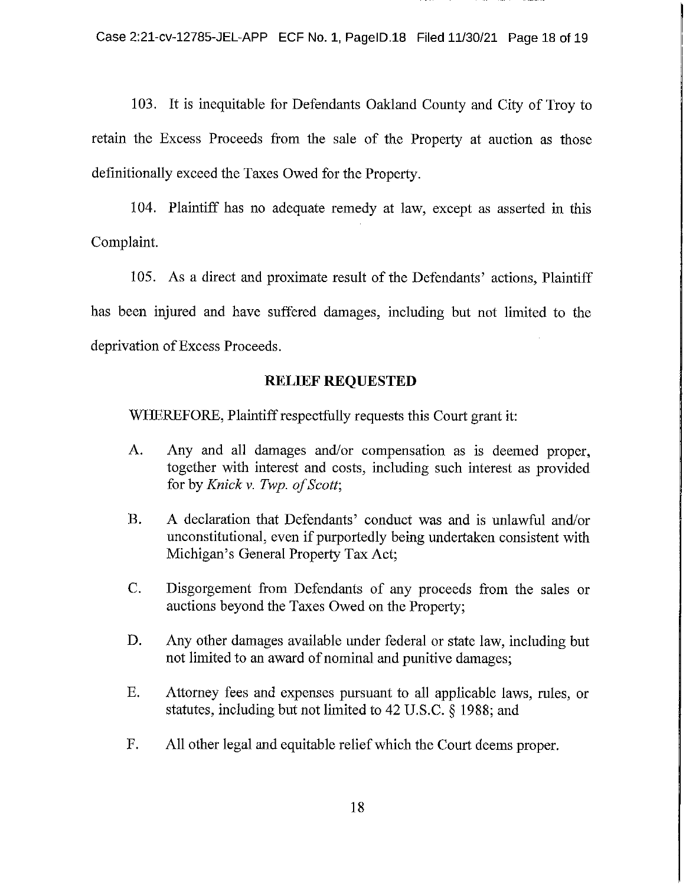103. It is inequitable for Defendants Oakland County and City of Troy to retain the Excess Proceeds from the sale of the Property at auction as those definitionally exceed the Taxes Owed for the Property.

104. Plaintiff has no adequate remedy at law, except as asserted in this Complaint.

105. As a direct and proximate result of the Defendants' actions, Plaintiff has been injured and have suffered damages, including but not limited to the deprivation of Excess Proceeds.

## **RELIEF REQUESTED**

WHEREFORE, Plaintiff respectfully requests this Court grant it:

- A. Any and all damages and/or compensation as is deemed proper, together with interest and costs, including such interest as provided for by Knick v. Twp. of Scott;
- $B<sub>r</sub>$ A declaration that Defendants' conduct was and is unlawful and/or unconstitutional, even if purportedly being undertaken consistent with Michigan's General Property Tax Act;
- $C_{\cdot}$ Disgorgement from Defendants of any proceeds from the sales or auctions beyond the Taxes Owed on the Property;
- D. Any other damages available under federal or state law, including but not limited to an award of nominal and punitive damages;
- Attorney fees and expenses pursuant to all applicable laws, rules, or  $E.$ statutes, including but not limited to 42 U.S.C. § 1988; and
- F. All other legal and equitable relief which the Court deems proper.